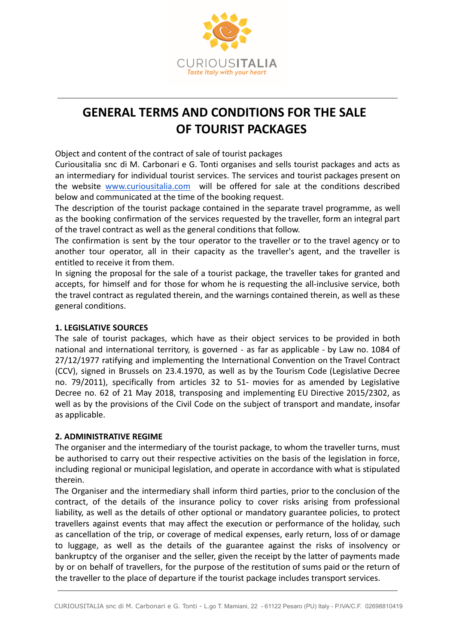

# **GENERAL TERMS AND CONDITIONS FOR THE SALE OF TOURIST PACKAGES**

Object and content of the contract of sale of tourist packages

Curiousitalia snc di M. Carbonari e G. Tonti organises and sells tourist packages and acts as an intermediary for individual tourist services. The services and tourist packages present on the website [www.curiousitalia.com](http://www.curiousitalia.com) will be offered for sale at the conditions described below and communicated at the time of the booking request.

The description of the tourist package contained in the separate travel programme, as well as the booking confirmation of the services requested by the traveller, form an integral part of the travel contract as well as the general conditions that follow.

The confirmation is sent by the tour operator to the traveller or to the travel agency or to another tour operator, all in their capacity as the traveller's agent, and the traveller is entitled to receive it from them.

In signing the proposal for the sale of a tourist package, the traveller takes for granted and accepts, for himself and for those for whom he is requesting the all-inclusive service, both the travel contract as regulated therein, and the warnings contained therein, as well as these general conditions.

# **1. LEGISLATIVE SOURCES**

The sale of tourist packages, which have as their object services to be provided in both national and international territory, is governed - as far as applicable - by Law no. 1084 of 27/12/1977 ratifying and implementing the International Convention on the Travel Contract (CCV), signed in Brussels on 23.4.1970, as well as by the Tourism Code (Legislative Decree no. 79/2011), specifically from articles 32 to 51- movies for as amended by Legislative Decree no. 62 of 21 May 2018, transposing and implementing EU Directive 2015/2302, as well as by the provisions of the Civil Code on the subject of transport and mandate, insofar as applicable.

#### **2. ADMINISTRATIVE REGIME**

The organiser and the intermediary of the tourist package, to whom the traveller turns, must be authorised to carry out their respective activities on the basis of the legislation in force, including regional or municipal legislation, and operate in accordance with what is stipulated therein.

The Organiser and the intermediary shall inform third parties, prior to the conclusion of the contract, of the details of the insurance policy to cover risks arising from professional liability, as well as the details of other optional or mandatory guarantee policies, to protect travellers against events that may affect the execution or performance of the holiday, such as cancellation of the trip, or coverage of medical expenses, early return, loss of or damage to luggage, as well as the details of the guarantee against the risks of insolvency or bankruptcy of the organiser and the seller, given the receipt by the latter of payments made by or on behalf of travellers, for the purpose of the restitution of sums paid or the return of the traveller to the place of departure if the tourist package includes transport services.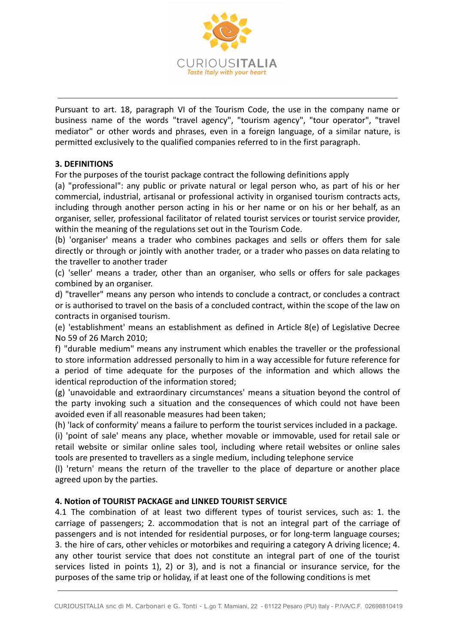

Pursuant to art. 18, paragraph VI of the Tourism Code, the use in the company name or business name of the words "travel agency", "tourism agency", "tour operator", "travel mediator" or other words and phrases, even in a foreign language, of a similar nature, is permitted exclusively to the qualified companies referred to in the first paragraph.

## **3. DEFINITIONS**

For the purposes of the tourist package contract the following definitions apply

(a) "professional": any public or private natural or legal person who, as part of his or her commercial, industrial, artisanal or professional activity in organised tourism contracts acts, including through another person acting in his or her name or on his or her behalf, as an organiser, seller, professional facilitator of related tourist services or tourist service provider, within the meaning of the regulations set out in the Tourism Code.

(b) 'organiser' means a trader who combines packages and sells or offers them for sale directly or through or jointly with another trader, or a trader who passes on data relating to the traveller to another trader

(c) 'seller' means a trader, other than an organiser, who sells or offers for sale packages combined by an organiser.

d) "traveller" means any person who intends to conclude a contract, or concludes a contract or is authorised to travel on the basis of a concluded contract, within the scope of the law on contracts in organised tourism.

(e) 'establishment' means an establishment as defined in Article 8(e) of Legislative Decree No 59 of 26 March 2010;

f) "durable medium" means any instrument which enables the traveller or the professional to store information addressed personally to him in a way accessible for future reference for a period of time adequate for the purposes of the information and which allows the identical reproduction of the information stored;

(g) 'unavoidable and extraordinary circumstances' means a situation beyond the control of the party invoking such a situation and the consequences of which could not have been avoided even if all reasonable measures had been taken;

(h) 'lack of conformity' means a failure to perform the tourist services included in a package.

(i) 'point of sale' means any place, whether movable or immovable, used for retail sale or retail website or similar online sales tool, including where retail websites or online sales tools are presented to travellers as a single medium, including telephone service

(l) 'return' means the return of the traveller to the place of departure or another place agreed upon by the parties.

#### **4. Notion of TOURIST PACKAGE and LINKED TOURIST SERVICE**

4.1 The combination of at least two different types of tourist services, such as: 1. the carriage of passengers; 2. accommodation that is not an integral part of the carriage of passengers and is not intended for residential purposes, or for long-term language courses; 3. the hire of cars, other vehicles or motorbikes and requiring a category A driving licence; 4. any other tourist service that does not constitute an integral part of one of the tourist services listed in points 1), 2) or 3), and is not a financial or insurance service, for the purposes of the same trip or holiday, if at least one of the following conditions is met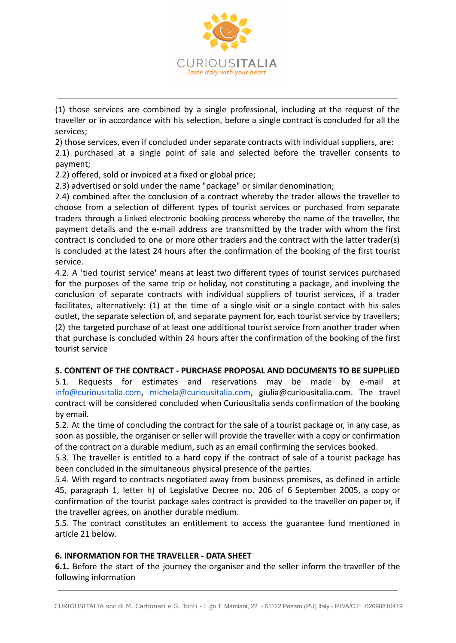

(1) those services are combined by a single professional, including at the request of the traveller or in accordance with his selection, before a single contract is concluded for all the services;

2) those services, even if concluded under separate contracts with individual suppliers, are:

2.1) purchased at a single point of sale and selected before the traveller consents to payment;

2.2) offered, sold or invoiced at a fixed or global price;

2.3) advertised or sold under the name "package" or similar denomination;

2.4) combined after the conclusion of a contract whereby the trader allows the traveller to choose from a selection of different types of tourist services or purchased from separate traders through a linked electronic booking process whereby the name of the traveller, the payment details and the e-mail address are transmitted by the trader with whom the first contract is concluded to one or more other traders and the contract with the latter trader(s) is concluded at the latest 24 hours after the confirmation of the booking of the first tourist service.

4.2. A 'tied tourist service' means at least two different types of tourist services purchased for the purposes of the same trip or holiday, not constituting a package, and involving the conclusion of separate contracts with individual suppliers of tourist services, if a trader facilitates, alternatively: (1) at the time of a single visit or a single contact with his sales outlet, the separate selection of, and separate payment for, each tourist service by travellers; (2) the targeted purchase of at least one additional tourist service from another trader when that purchase is concluded within 24 hours after the confirmation of the booking of the first tourist service

#### **5. CONTENT OF THE CONTRACT - PURCHASE PROPOSAL AND DOCUMENTS TO BE SUPPLIED**

5.1. Requests for estimates and reservations may be made by e-mail at [info@curiousitalia.com,](mailto:info@curiousitalia.com) [michela@curiousitalia.com,](mailto:michela@curiousitalia.com) giulia@curiousitalia.com. The travel contract will be considered concluded when Curiousitalia sends confirmation of the booking by email.

5.2. At the time of concluding the contract for the sale of a tourist package or, in any case, as soon as possible, the organiser or seller will provide the traveller with a copy or confirmation of the contract on a durable medium, such as an email confirming the services booked.

5.3. The traveller is entitled to a hard copy if the contract of sale of a tourist package has been concluded in the simultaneous physical presence of the parties.

5.4. With regard to contracts negotiated away from business premises, as defined in article 45, paragraph 1, letter h) of Legislative Decree no. 206 of 6 September 2005, a copy or confirmation of the tourist package sales contract is provided to the traveller on paper or, if the traveller agrees, on another durable medium.

5.5. The contract constitutes an entitlement to access the guarantee fund mentioned in article 21 below.

#### **6. INFORMATION FOR THE TRAVELLER - DATA SHEET**

**6.1.** Before the start of the journey the organiser and the seller inform the traveller of the following information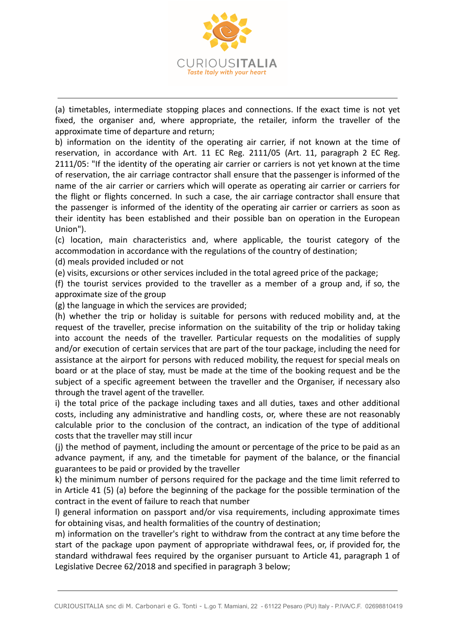

(a) timetables, intermediate stopping places and connections. If the exact time is not yet fixed, the organiser and, where appropriate, the retailer, inform the traveller of the approximate time of departure and return;

b) information on the identity of the operating air carrier, if not known at the time of reservation, in accordance with Art. 11 EC Reg. 2111/05 (Art. 11, paragraph 2 EC Reg. 2111/05: "If the identity of the operating air carrier or carriers is not yet known at the time of reservation, the air carriage contractor shall ensure that the passenger is informed of the name of the air carrier or carriers which will operate as operating air carrier or carriers for the flight or flights concerned. In such a case, the air carriage contractor shall ensure that the passenger is informed of the identity of the operating air carrier or carriers as soon as their identity has been established and their possible ban on operation in the European Union").

(c) location, main characteristics and, where applicable, the tourist category of the accommodation in accordance with the regulations of the country of destination;

(d) meals provided included or not

(e) visits, excursions or other services included in the total agreed price of the package;

(f) the tourist services provided to the traveller as a member of a group and, if so, the approximate size of the group

(g) the language in which the services are provided;

(h) whether the trip or holiday is suitable for persons with reduced mobility and, at the request of the traveller, precise information on the suitability of the trip or holiday taking into account the needs of the traveller. Particular requests on the modalities of supply and/or execution of certain services that are part of the tour package, including the need for assistance at the airport for persons with reduced mobility, the request for special meals on board or at the place of stay, must be made at the time of the booking request and be the subject of a specific agreement between the traveller and the Organiser, if necessary also through the travel agent of the traveller.

i) the total price of the package including taxes and all duties, taxes and other additional costs, including any administrative and handling costs, or, where these are not reasonably calculable prior to the conclusion of the contract, an indication of the type of additional costs that the traveller may still incur

(j) the method of payment, including the amount or percentage of the price to be paid as an advance payment, if any, and the timetable for payment of the balance, or the financial guarantees to be paid or provided by the traveller

k) the minimum number of persons required for the package and the time limit referred to in Article 41 (5) (a) before the beginning of the package for the possible termination of the contract in the event of failure to reach that number

l) general information on passport and/or visa requirements, including approximate times for obtaining visas, and health formalities of the country of destination;

m) information on the traveller's right to withdraw from the contract at any time before the start of the package upon payment of appropriate withdrawal fees, or, if provided for, the standard withdrawal fees required by the organiser pursuant to Article 41, paragraph 1 of Legislative Decree 62/2018 and specified in paragraph 3 below;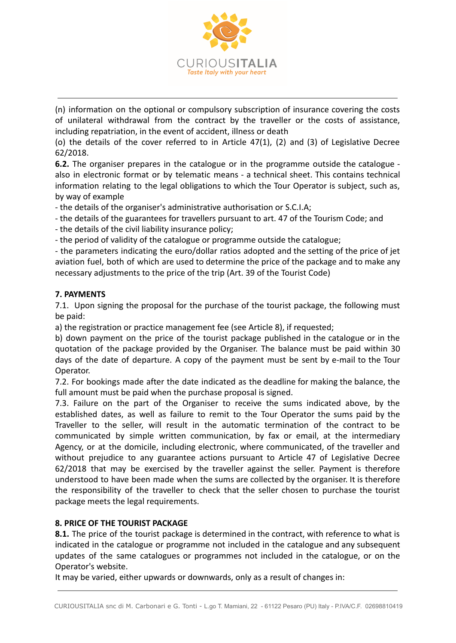

(n) information on the optional or compulsory subscription of insurance covering the costs of unilateral withdrawal from the contract by the traveller or the costs of assistance, including repatriation, in the event of accident, illness or death

(o) the details of the cover referred to in Article 47(1), (2) and (3) of Legislative Decree 62/2018.

**6.2.** The organiser prepares in the catalogue or in the programme outside the catalogue also in electronic format or by telematic means - a technical sheet. This contains technical information relating to the legal obligations to which the Tour Operator is subject, such as, by way of example

- the details of the organiser's administrative authorisation or S.C.I.A;

- the details of the guarantees for travellers pursuant to art. 47 of the Tourism Code; and

- the details of the civil liability insurance policy;

- the period of validity of the catalogue or programme outside the catalogue;

- the parameters indicating the euro/dollar ratios adopted and the setting of the price of jet aviation fuel, both of which are used to determine the price of the package and to make any necessary adjustments to the price of the trip (Art. 39 of the Tourist Code)

## **7. PAYMENTS**

7.1. Upon signing the proposal for the purchase of the tourist package, the following must be paid:

a) the registration or practice management fee (see Article 8), if requested;

b) down payment on the price of the tourist package published in the catalogue or in the quotation of the package provided by the Organiser. The balance must be paid within 30 days of the date of departure. A copy of the payment must be sent by e-mail to the Tour Operator.

7.2. For bookings made after the date indicated as the deadline for making the balance, the full amount must be paid when the purchase proposal is signed.

7.3. Failure on the part of the Organiser to receive the sums indicated above, by the established dates, as well as failure to remit to the Tour Operator the sums paid by the Traveller to the seller, will result in the automatic termination of the contract to be communicated by simple written communication, by fax or email, at the intermediary Agency, or at the domicile, including electronic, where communicated, of the traveller and without prejudice to any guarantee actions pursuant to Article 47 of Legislative Decree 62/2018 that may be exercised by the traveller against the seller. Payment is therefore understood to have been made when the sums are collected by the organiser. It is therefore the responsibility of the traveller to check that the seller chosen to purchase the tourist package meets the legal requirements.

#### **8. PRICE OF THE TOURIST PACKAGE**

**8.1.** The price of the tourist package is determined in the contract, with reference to what is indicated in the catalogue or programme not included in the catalogue and any subsequent updates of the same catalogues or programmes not included in the catalogue, or on the Operator's website.

It may be varied, either upwards or downwards, only as a result of changes in: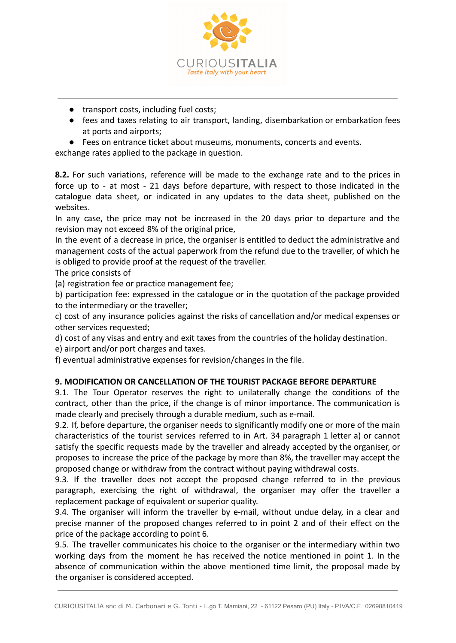

- transport costs, including fuel costs;
- fees and taxes relating to air transport, landing, disembarkation or embarkation fees at ports and airports;
- Fees on entrance ticket about museums, monuments, concerts and events.

exchange rates applied to the package in question.

**8.2.** For such variations, reference will be made to the exchange rate and to the prices in force up to - at most - 21 days before departure, with respect to those indicated in the catalogue data sheet, or indicated in any updates to the data sheet, published on the websites.

In any case, the price may not be increased in the 20 days prior to departure and the revision may not exceed 8% of the original price,

In the event of a decrease in price, the organiser is entitled to deduct the administrative and management costs of the actual paperwork from the refund due to the traveller, of which he is obliged to provide proof at the request of the traveller.

The price consists of

(a) registration fee or practice management fee;

b) participation fee: expressed in the catalogue or in the quotation of the package provided to the intermediary or the traveller;

c) cost of any insurance policies against the risks of cancellation and/or medical expenses or other services requested;

d) cost of any visas and entry and exit taxes from the countries of the holiday destination.

e) airport and/or port charges and taxes.

f) eventual administrative expenses for revision/changes in the file.

#### **9. MODIFICATION OR CANCELLATION OF THE TOURIST PACKAGE BEFORE DEPARTURE**

9.1. The Tour Operator reserves the right to unilaterally change the conditions of the contract, other than the price, if the change is of minor importance. The communication is made clearly and precisely through a durable medium, such as e-mail.

9.2. If, before departure, the organiser needs to significantly modify one or more of the main characteristics of the tourist services referred to in Art. 34 paragraph 1 letter a) or cannot satisfy the specific requests made by the traveller and already accepted by the organiser, or proposes to increase the price of the package by more than 8%, the traveller may accept the proposed change or withdraw from the contract without paying withdrawal costs.

9.3. If the traveller does not accept the proposed change referred to in the previous paragraph, exercising the right of withdrawal, the organiser may offer the traveller a replacement package of equivalent or superior quality.

9.4. The organiser will inform the traveller by e-mail, without undue delay, in a clear and precise manner of the proposed changes referred to in point 2 and of their effect on the price of the package according to point 6.

9.5. The traveller communicates his choice to the organiser or the intermediary within two working days from the moment he has received the notice mentioned in point 1. In the absence of communication within the above mentioned time limit, the proposal made by the organiser is considered accepted.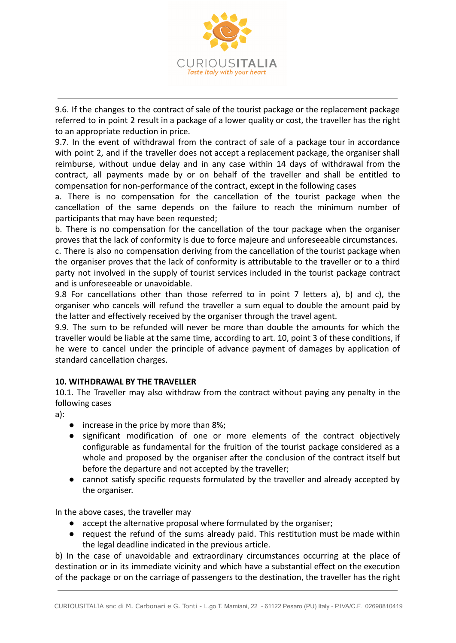

9.6. If the changes to the contract of sale of the tourist package or the replacement package referred to in point 2 result in a package of a lower quality or cost, the traveller has the right to an appropriate reduction in price.

9.7. In the event of withdrawal from the contract of sale of a package tour in accordance with point 2, and if the traveller does not accept a replacement package, the organiser shall reimburse, without undue delay and in any case within 14 days of withdrawal from the contract, all payments made by or on behalf of the traveller and shall be entitled to compensation for non-performance of the contract, except in the following cases

a. There is no compensation for the cancellation of the tourist package when the cancellation of the same depends on the failure to reach the minimum number of participants that may have been requested;

b. There is no compensation for the cancellation of the tour package when the organiser proves that the lack of conformity is due to force majeure and unforeseeable circumstances.

c. There is also no compensation deriving from the cancellation of the tourist package when the organiser proves that the lack of conformity is attributable to the traveller or to a third party not involved in the supply of tourist services included in the tourist package contract and is unforeseeable or unavoidable.

9.8 For cancellations other than those referred to in point 7 letters a), b) and c), the organiser who cancels will refund the traveller a sum equal to double the amount paid by the latter and effectively received by the organiser through the travel agent.

9.9. The sum to be refunded will never be more than double the amounts for which the traveller would be liable at the same time, according to art. 10, point 3 of these conditions, if he were to cancel under the principle of advance payment of damages by application of standard cancellation charges.

# **10. WITHDRAWAL BY THE TRAVELLER**

10.1. The Traveller may also withdraw from the contract without paying any penalty in the following cases

a):

- increase in the price by more than 8%;
- significant modification of one or more elements of the contract objectively configurable as fundamental for the fruition of the tourist package considered as a whole and proposed by the organiser after the conclusion of the contract itself but before the departure and not accepted by the traveller;
- cannot satisfy specific requests formulated by the traveller and already accepted by the organiser.

In the above cases, the traveller may

- accept the alternative proposal where formulated by the organiser;
- request the refund of the sums already paid. This restitution must be made within the legal deadline indicated in the previous article.

b) In the case of unavoidable and extraordinary circumstances occurring at the place of destination or in its immediate vicinity and which have a substantial effect on the execution of the package or on the carriage of passengers to the destination, the traveller has the right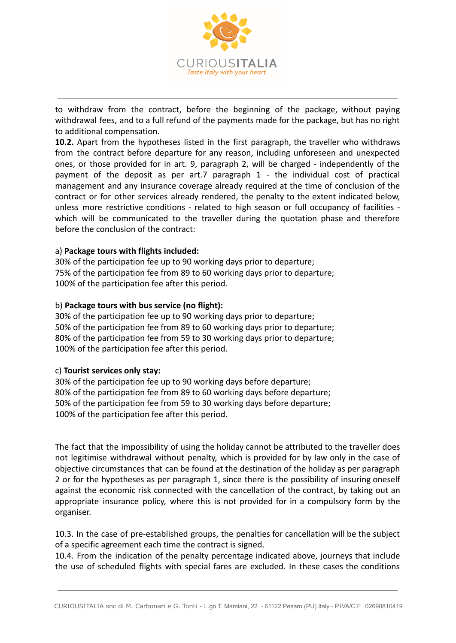

to withdraw from the contract, before the beginning of the package, without paying withdrawal fees, and to a full refund of the payments made for the package, but has no right to additional compensation.

**10.2.** Apart from the hypotheses listed in the first paragraph, the traveller who withdraws from the contract before departure for any reason, including unforeseen and unexpected ones, or those provided for in art. 9, paragraph 2, will be charged - independently of the payment of the deposit as per art.7 paragraph 1 - the individual cost of practical management and any insurance coverage already required at the time of conclusion of the contract or for other services already rendered, the penalty to the extent indicated below, unless more restrictive conditions - related to high season or full occupancy of facilities which will be communicated to the traveller during the quotation phase and therefore before the conclusion of the contract:

#### a) **Package tours with flights included:**

30% of the participation fee up to 90 working days prior to departure; 75% of the participation fee from 89 to 60 working days prior to departure; 100% of the participation fee after this period.

#### b) **Package tours with bus service (no flight):**

30% of the participation fee up to 90 working days prior to departure; 50% of the participation fee from 89 to 60 working days prior to departure; 80% of the participation fee from 59 to 30 working days prior to departure; 100% of the participation fee after this period.

#### c) **Tourist services only stay:**

30% of the participation fee up to 90 working days before departure; 80% of the participation fee from 89 to 60 working days before departure; 50% of the participation fee from 59 to 30 working days before departure; 100% of the participation fee after this period.

The fact that the impossibility of using the holiday cannot be attributed to the traveller does not legitimise withdrawal without penalty, which is provided for by law only in the case of objective circumstances that can be found at the destination of the holiday as per paragraph 2 or for the hypotheses as per paragraph 1, since there is the possibility of insuring oneself against the economic risk connected with the cancellation of the contract, by taking out an appropriate insurance policy, where this is not provided for in a compulsory form by the organiser.

10.3. In the case of pre-established groups, the penalties for cancellation will be the subject of a specific agreement each time the contract is signed.

10.4. From the indication of the penalty percentage indicated above, journeys that include the use of scheduled flights with special fares are excluded. In these cases the conditions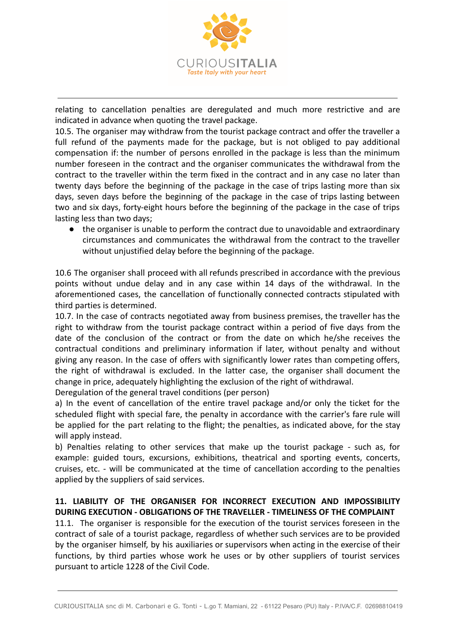

relating to cancellation penalties are deregulated and much more restrictive and are indicated in advance when quoting the travel package.

10.5. The organiser may withdraw from the tourist package contract and offer the traveller a full refund of the payments made for the package, but is not obliged to pay additional compensation if: the number of persons enrolled in the package is less than the minimum number foreseen in the contract and the organiser communicates the withdrawal from the contract to the traveller within the term fixed in the contract and in any case no later than twenty days before the beginning of the package in the case of trips lasting more than six days, seven days before the beginning of the package in the case of trips lasting between two and six days, forty-eight hours before the beginning of the package in the case of trips lasting less than two days;

● the organiser is unable to perform the contract due to unavoidable and extraordinary circumstances and communicates the withdrawal from the contract to the traveller without unjustified delay before the beginning of the package.

10.6 The organiser shall proceed with all refunds prescribed in accordance with the previous points without undue delay and in any case within 14 days of the withdrawal. In the aforementioned cases, the cancellation of functionally connected contracts stipulated with third parties is determined.

10.7. In the case of contracts negotiated away from business premises, the traveller has the right to withdraw from the tourist package contract within a period of five days from the date of the conclusion of the contract or from the date on which he/she receives the contractual conditions and preliminary information if later, without penalty and without giving any reason. In the case of offers with significantly lower rates than competing offers, the right of withdrawal is excluded. In the latter case, the organiser shall document the change in price, adequately highlighting the exclusion of the right of withdrawal.

Deregulation of the general travel conditions (per person)

a) In the event of cancellation of the entire travel package and/or only the ticket for the scheduled flight with special fare, the penalty in accordance with the carrier's fare rule will be applied for the part relating to the flight; the penalties, as indicated above, for the stay will apply instead.

b) Penalties relating to other services that make up the tourist package - such as, for example: guided tours, excursions, exhibitions, theatrical and sporting events, concerts, cruises, etc. - will be communicated at the time of cancellation according to the penalties applied by the suppliers of said services.

# **11. LIABILITY OF THE ORGANISER FOR INCORRECT EXECUTION AND IMPOSSIBILITY DURING EXECUTION - OBLIGATIONS OF THE TRAVELLER - TIMELINESS OF THE COMPLAINT**

11.1. The organiser is responsible for the execution of the tourist services foreseen in the contract of sale of a tourist package, regardless of whether such services are to be provided by the organiser himself, by his auxiliaries or supervisors when acting in the exercise of their functions, by third parties whose work he uses or by other suppliers of tourist services pursuant to article 1228 of the Civil Code.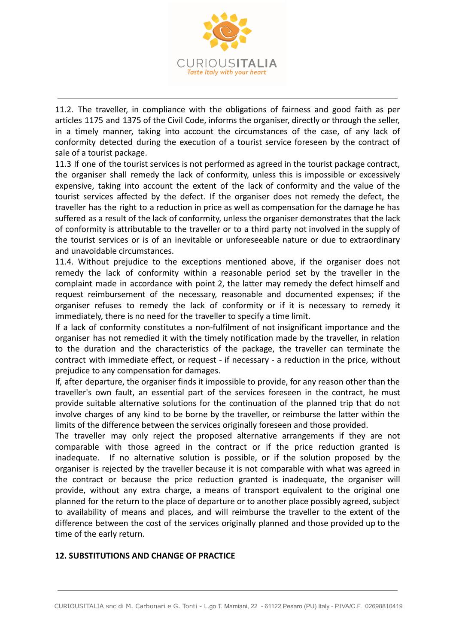

11.2. The traveller, in compliance with the obligations of fairness and good faith as per articles 1175 and 1375 of the Civil Code, informs the organiser, directly or through the seller, in a timely manner, taking into account the circumstances of the case, of any lack of conformity detected during the execution of a tourist service foreseen by the contract of sale of a tourist package.

11.3 If one of the tourist services is not performed as agreed in the tourist package contract, the organiser shall remedy the lack of conformity, unless this is impossible or excessively expensive, taking into account the extent of the lack of conformity and the value of the tourist services affected by the defect. If the organiser does not remedy the defect, the traveller has the right to a reduction in price as well as compensation for the damage he has suffered as a result of the lack of conformity, unless the organiser demonstrates that the lack of conformity is attributable to the traveller or to a third party not involved in the supply of the tourist services or is of an inevitable or unforeseeable nature or due to extraordinary and unavoidable circumstances.

11.4. Without prejudice to the exceptions mentioned above, if the organiser does not remedy the lack of conformity within a reasonable period set by the traveller in the complaint made in accordance with point 2, the latter may remedy the defect himself and request reimbursement of the necessary, reasonable and documented expenses; if the organiser refuses to remedy the lack of conformity or if it is necessary to remedy it immediately, there is no need for the traveller to specify a time limit.

If a lack of conformity constitutes a non-fulfilment of not insignificant importance and the organiser has not remedied it with the timely notification made by the traveller, in relation to the duration and the characteristics of the package, the traveller can terminate the contract with immediate effect, or request - if necessary - a reduction in the price, without prejudice to any compensation for damages.

If, after departure, the organiser finds it impossible to provide, for any reason other than the traveller's own fault, an essential part of the services foreseen in the contract, he must provide suitable alternative solutions for the continuation of the planned trip that do not involve charges of any kind to be borne by the traveller, or reimburse the latter within the limits of the difference between the services originally foreseen and those provided.

The traveller may only reject the proposed alternative arrangements if they are not comparable with those agreed in the contract or if the price reduction granted is inadequate. If no alternative solution is possible, or if the solution proposed by the organiser is rejected by the traveller because it is not comparable with what was agreed in the contract or because the price reduction granted is inadequate, the organiser will provide, without any extra charge, a means of transport equivalent to the original one planned for the return to the place of departure or to another place possibly agreed, subject to availability of means and places, and will reimburse the traveller to the extent of the difference between the cost of the services originally planned and those provided up to the time of the early return.

#### **12. SUBSTITUTIONS AND CHANGE OF PRACTICE**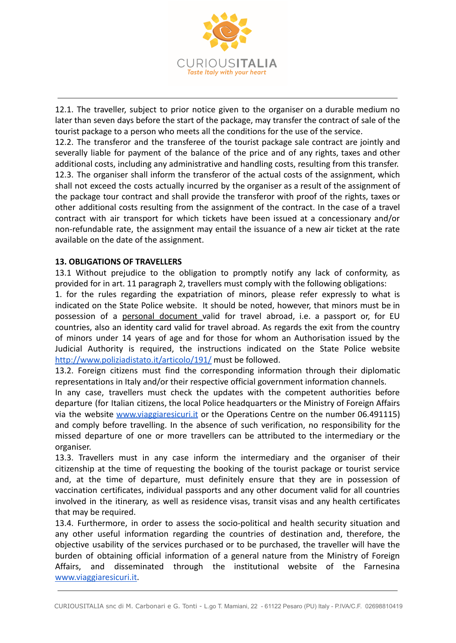

12.1. The traveller, subject to prior notice given to the organiser on a durable medium no later than seven days before the start of the package, may transfer the contract of sale of the tourist package to a person who meets all the conditions for the use of the service.

12.2. The transferor and the transferee of the tourist package sale contract are jointly and severally liable for payment of the balance of the price and of any rights, taxes and other additional costs, including any administrative and handling costs, resulting from this transfer. 12.3. The organiser shall inform the transferor of the actual costs of the assignment, which shall not exceed the costs actually incurred by the organiser as a result of the assignment of the package tour contract and shall provide the transferor with proof of the rights, taxes or other additional costs resulting from the assignment of the contract. In the case of a travel contract with air transport for which tickets have been issued at a concessionary and/or non-refundable rate, the assignment may entail the issuance of a new air ticket at the rate available on the date of the assignment.

## **13. OBLIGATIONS OF TRAVELLERS**

13.1 Without prejudice to the obligation to promptly notify any lack of conformity, as provided for in art. 11 paragraph 2, travellers must comply with the following obligations:

1. for the rules regarding the expatriation of minors, please refer expressly to what is indicated on the State Police website. It should be noted, however, that minors must be in possession of a personal document valid for travel abroad, i.e. a passport or, for EU countries, also an identity card valid for travel abroad. As regards the exit from the country of minors under 14 years of age and for those for whom an Authorisation issued by the Judicial Authority is required, the instructions indicated on the State Police website <http://www.poliziadistato.it/articolo/191/> must be followed.

13.2. Foreign citizens must find the corresponding information through their diplomatic representations in Italy and/or their respective official government information channels.

In any case, travellers must check the updates with the competent authorities before departure (for Italian citizens, the local Police headquarters or the Ministry of Foreign Affairs via the website [www.viaggiaresicuri.it](http://www.viaggiaresicuri.it) or the Operations Centre on the number 06.491115) and comply before travelling. In the absence of such verification, no responsibility for the missed departure of one or more travellers can be attributed to the intermediary or the organiser.

13.3. Travellers must in any case inform the intermediary and the organiser of their citizenship at the time of requesting the booking of the tourist package or tourist service and, at the time of departure, must definitely ensure that they are in possession of vaccination certificates, individual passports and any other document valid for all countries involved in the itinerary, as well as residence visas, transit visas and any health certificates that may be required.

13.4. Furthermore, in order to assess the socio-political and health security situation and any other useful information regarding the countries of destination and, therefore, the objective usability of the services purchased or to be purchased, the traveller will have the burden of obtaining official information of a general nature from the Ministry of Foreign Affairs, and disseminated through the institutional website of the Farnesina [www.viaggiaresicuri.it](http://www.viaggiaresicuri.it).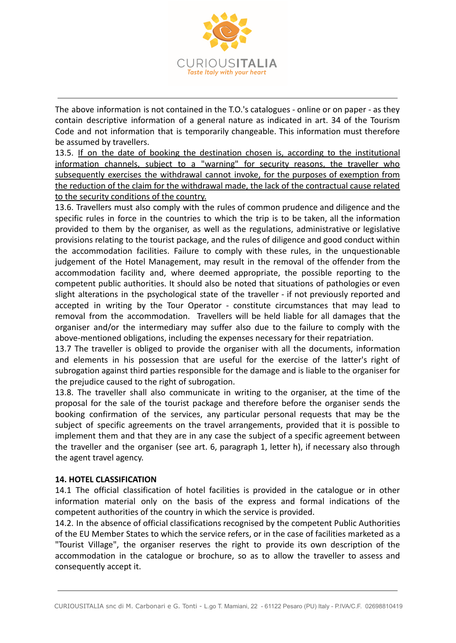

The above information is not contained in the T.O.'s catalogues - online or on paper - as they contain descriptive information of a general nature as indicated in art. 34 of the Tourism Code and not information that is temporarily changeable. This information must therefore be assumed by travellers.

13.5. If on the date of booking the destination chosen is, according to the institutional information channels, subject to a "warning" for security reasons, the traveller who subsequently exercises the withdrawal cannot invoke, for the purposes of exemption from the reduction of the claim for the withdrawal made, the lack of the contractual cause related to the security conditions of the country.

13.6. Travellers must also comply with the rules of common prudence and diligence and the specific rules in force in the countries to which the trip is to be taken, all the information provided to them by the organiser, as well as the regulations, administrative or legislative provisions relating to the tourist package, and the rules of diligence and good conduct within the accommodation facilities. Failure to comply with these rules, in the unquestionable judgement of the Hotel Management, may result in the removal of the offender from the accommodation facility and, where deemed appropriate, the possible reporting to the competent public authorities. It should also be noted that situations of pathologies or even slight alterations in the psychological state of the traveller - if not previously reported and accepted in writing by the Tour Operator - constitute circumstances that may lead to removal from the accommodation. Travellers will be held liable for all damages that the organiser and/or the intermediary may suffer also due to the failure to comply with the above-mentioned obligations, including the expenses necessary for their repatriation.

13.7 The traveller is obliged to provide the organiser with all the documents, information and elements in his possession that are useful for the exercise of the latter's right of subrogation against third parties responsible for the damage and is liable to the organiser for the prejudice caused to the right of subrogation.

13.8. The traveller shall also communicate in writing to the organiser, at the time of the proposal for the sale of the tourist package and therefore before the organiser sends the booking confirmation of the services, any particular personal requests that may be the subject of specific agreements on the travel arrangements, provided that it is possible to implement them and that they are in any case the subject of a specific agreement between the traveller and the organiser (see art. 6, paragraph 1, letter h), if necessary also through the agent travel agency.

#### **14. HOTEL CLASSIFICATION**

14.1 The official classification of hotel facilities is provided in the catalogue or in other information material only on the basis of the express and formal indications of the competent authorities of the country in which the service is provided.

14.2. In the absence of official classifications recognised by the competent Public Authorities of the EU Member States to which the service refers, or in the case of facilities marketed as a "Tourist Village", the organiser reserves the right to provide its own description of the accommodation in the catalogue or brochure, so as to allow the traveller to assess and consequently accept it.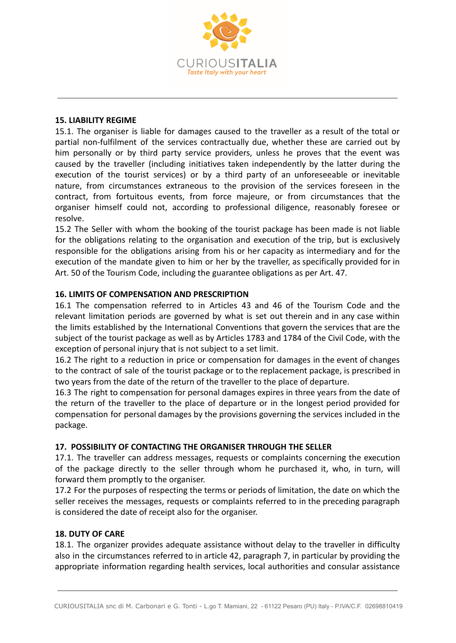

#### **15. LIABILITY REGIME**

15.1. The organiser is liable for damages caused to the traveller as a result of the total or partial non-fulfilment of the services contractually due, whether these are carried out by him personally or by third party service providers, unless he proves that the event was caused by the traveller (including initiatives taken independently by the latter during the execution of the tourist services) or by a third party of an unforeseeable or inevitable nature, from circumstances extraneous to the provision of the services foreseen in the contract, from fortuitous events, from force majeure, or from circumstances that the organiser himself could not, according to professional diligence, reasonably foresee or resolve.

15.2 The Seller with whom the booking of the tourist package has been made is not liable for the obligations relating to the organisation and execution of the trip, but is exclusively responsible for the obligations arising from his or her capacity as intermediary and for the execution of the mandate given to him or her by the traveller, as specifically provided for in Art. 50 of the Tourism Code, including the guarantee obligations as per Art. 47.

#### **16. LIMITS OF COMPENSATION AND PRESCRIPTION**

16.1 The compensation referred to in Articles 43 and 46 of the Tourism Code and the relevant limitation periods are governed by what is set out therein and in any case within the limits established by the International Conventions that govern the services that are the subject of the tourist package as well as by Articles 1783 and 1784 of the Civil Code, with the exception of personal injury that is not subject to a set limit.

16.2 The right to a reduction in price or compensation for damages in the event of changes to the contract of sale of the tourist package or to the replacement package, is prescribed in two years from the date of the return of the traveller to the place of departure.

16.3 The right to compensation for personal damages expires in three years from the date of the return of the traveller to the place of departure or in the longest period provided for compensation for personal damages by the provisions governing the services included in the package.

#### **17. POSSIBILITY OF CONTACTING THE ORGANISER THROUGH THE SELLER**

17.1. The traveller can address messages, requests or complaints concerning the execution of the package directly to the seller through whom he purchased it, who, in turn, will forward them promptly to the organiser.

17.2 For the purposes of respecting the terms or periods of limitation, the date on which the seller receives the messages, requests or complaints referred to in the preceding paragraph is considered the date of receipt also for the organiser.

#### **18. DUTY OF CARE**

18.1. The organizer provides adequate assistance without delay to the traveller in difficulty also in the circumstances referred to in article 42, paragraph 7, in particular by providing the appropriate information regarding health services, local authorities and consular assistance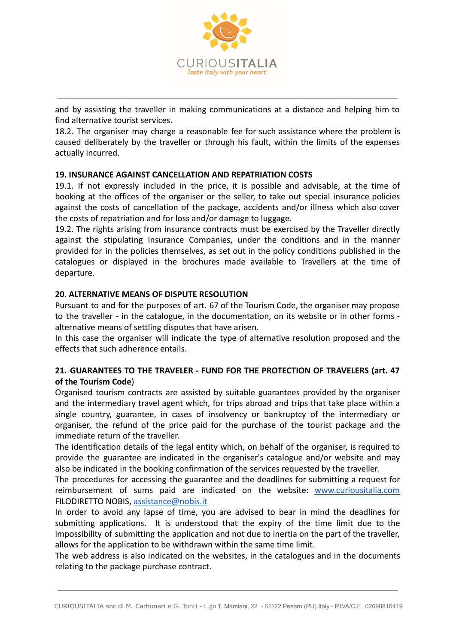

and by assisting the traveller in making communications at a distance and helping him to find alternative tourist services.

18.2. The organiser may charge a reasonable fee for such assistance where the problem is caused deliberately by the traveller or through his fault, within the limits of the expenses actually incurred.

# **19. INSURANCE AGAINST CANCELLATION AND REPATRIATION COSTS**

19.1. If not expressly included in the price, it is possible and advisable, at the time of booking at the offices of the organiser or the seller, to take out special insurance policies against the costs of cancellation of the package, accidents and/or illness which also cover the costs of repatriation and for loss and/or damage to luggage.

19.2. The rights arising from insurance contracts must be exercised by the Traveller directly against the stipulating Insurance Companies, under the conditions and in the manner provided for in the policies themselves, as set out in the policy conditions published in the catalogues or displayed in the brochures made available to Travellers at the time of departure.

#### **20. ALTERNATIVE MEANS OF DISPUTE RESOLUTION**

Pursuant to and for the purposes of art. 67 of the Tourism Code, the organiser may propose to the traveller - in the catalogue, in the documentation, on its website or in other forms alternative means of settling disputes that have arisen.

In this case the organiser will indicate the type of alternative resolution proposed and the effects that such adherence entails.

## **21. GUARANTEES TO THE TRAVELER - FUND FOR THE PROTECTION OF TRAVELERS (art. 47 of the Tourism Code**)

Organised tourism contracts are assisted by suitable guarantees provided by the organiser and the intermediary travel agent which, for trips abroad and trips that take place within a single country, guarantee, in cases of insolvency or bankruptcy of the intermediary or organiser, the refund of the price paid for the purchase of the tourist package and the immediate return of the traveller.

The identification details of the legal entity which, on behalf of the organiser, is required to provide the guarantee are indicated in the organiser's catalogue and/or website and may also be indicated in the booking confirmation of the services requested by the traveller.

The procedures for accessing the guarantee and the deadlines for submitting a request for reimbursement of sums paid are indicated on the website: [www.curiousitalia.com](http://www.curiousitalia.com) FILODIRETTO NOBIS, [assistance@nobis.it](mailto:assistance@nobis.it)

In order to avoid any lapse of time, you are advised to bear in mind the deadlines for submitting applications. It is understood that the expiry of the time limit due to the impossibility of submitting the application and not due to inertia on the part of the traveller, allows for the application to be withdrawn within the same time limit.

The web address is also indicated on the websites, in the catalogues and in the documents relating to the package purchase contract.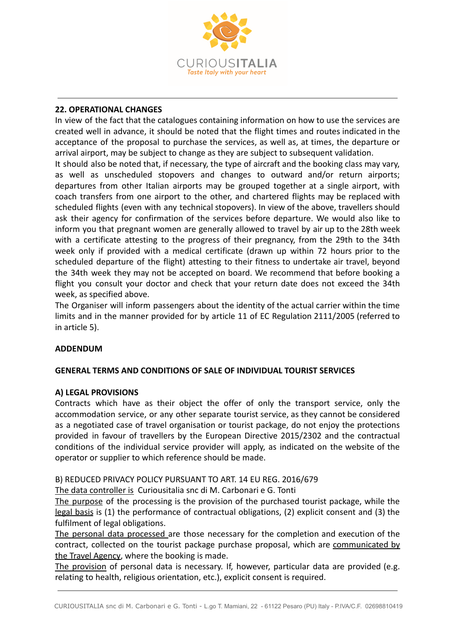

## **22. OPERATIONAL CHANGES**

In view of the fact that the catalogues containing information on how to use the services are created well in advance, it should be noted that the flight times and routes indicated in the acceptance of the proposal to purchase the services, as well as, at times, the departure or arrival airport, may be subject to change as they are subject to subsequent validation.

It should also be noted that, if necessary, the type of aircraft and the booking class may vary, as well as unscheduled stopovers and changes to outward and/or return airports; departures from other Italian airports may be grouped together at a single airport, with coach transfers from one airport to the other, and chartered flights may be replaced with scheduled flights (even with any technical stopovers). In view of the above, travellers should ask their agency for confirmation of the services before departure. We would also like to inform you that pregnant women are generally allowed to travel by air up to the 28th week with a certificate attesting to the progress of their pregnancy, from the 29th to the 34th week only if provided with a medical certificate (drawn up within 72 hours prior to the scheduled departure of the flight) attesting to their fitness to undertake air travel, beyond the 34th week they may not be accepted on board. We recommend that before booking a flight you consult your doctor and check that your return date does not exceed the 34th week, as specified above.

The Organiser will inform passengers about the identity of the actual carrier within the time limits and in the manner provided for by article 11 of EC Regulation 2111/2005 (referred to in article 5).

#### **ADDENDUM**

#### **GENERAL TERMS AND CONDITIONS OF SALE OF INDIVIDUAL TOURIST SERVICES**

#### **A) LEGAL PROVISIONS**

Contracts which have as their object the offer of only the transport service, only the accommodation service, or any other separate tourist service, as they cannot be considered as a negotiated case of travel organisation or tourist package, do not enjoy the protections provided in favour of travellers by the European Directive 2015/2302 and the contractual conditions of the individual service provider will apply, as indicated on the website of the operator or supplier to which reference should be made.

#### B) REDUCED PRIVACY POLICY PURSUANT TO ART. 14 EU REG. 2016/679

The data controller is Curiousitalia snc di M. Carbonari e G. Tonti

The purpose of the processing is the provision of the purchased tourist package, while the legal basis is (1) the performance of contractual obligations, (2) explicit consent and (3) the fulfilment of legal obligations.

The personal data processed are those necessary for the completion and execution of the contract, collected on the tourist package purchase proposal, which are communicated by the Travel Agency, where the booking is made.

The provision of personal data is necessary. If, however, particular data are provided (e.g. relating to health, religious orientation, etc.), explicit consent is required.